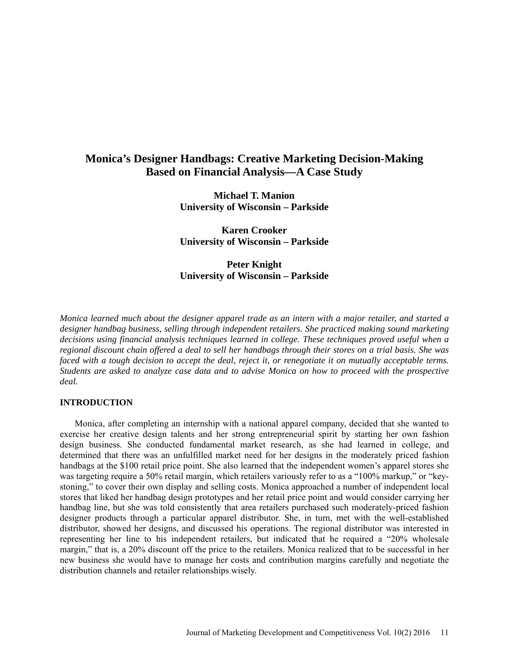# **Monica's Designer Handbags: Creative Marketing Decision-Making Based on Financial Analysis—A Case Study**

**Michael T. Manion University of Wisconsin – Parkside**

**Karen Crooker University of Wisconsin – Parkside**

**Peter Knight University of Wisconsin – Parkside**

*Monica learned much about the designer apparel trade as an intern with a major retailer, and started a designer handbag business, selling through independent retailers. She practiced making sound marketing decisions using financial analysis techniques learned in college. These techniques proved useful when a regional discount chain offered a deal to sell her handbags through their stores on a trial basis. She was faced with a tough decision to accept the deal, reject it, or renegotiate it on mutually acceptable terms. Students are asked to analyze case data and to advise Monica on how to proceed with the prospective deal.*

### **INTRODUCTION**

Monica, after completing an internship with a national apparel company, decided that she wanted to exercise her creative design talents and her strong entrepreneurial spirit by starting her own fashion design business. She conducted fundamental market research, as she had learned in college, and determined that there was an unfulfilled market need for her designs in the moderately priced fashion handbags at the \$100 retail price point. She also learned that the independent women's apparel stores she was targeting require a 50% retail margin, which retailers variously refer to as a "100% markup," or "keystoning," to cover their own display and selling costs. Monica approached a number of independent local stores that liked her handbag design prototypes and her retail price point and would consider carrying her handbag line, but she was told consistently that area retailers purchased such moderately-priced fashion designer products through a particular apparel distributor. She, in turn, met with the well-established distributor, showed her designs, and discussed his operations. The regional distributor was interested in representing her line to his independent retailers, but indicated that he required a "20% wholesale margin," that is, a 20% discount off the price to the retailers. Monica realized that to be successful in her new business she would have to manage her costs and contribution margins carefully and negotiate the distribution channels and retailer relationships wisely.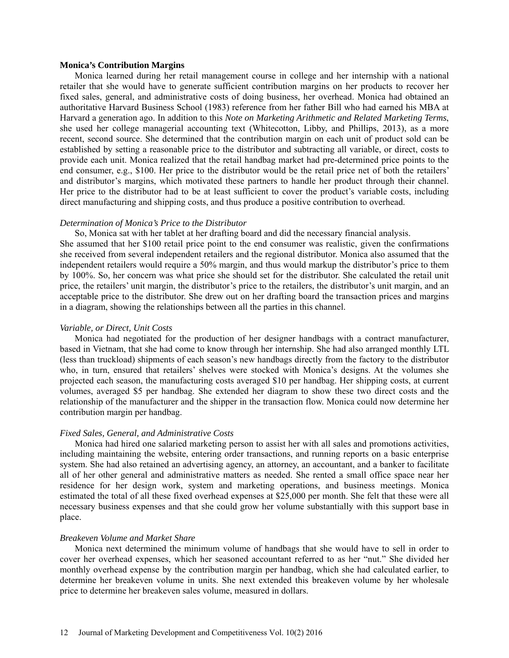#### **Monica's Contribution Margins**

Monica learned during her retail management course in college and her internship with a national retailer that she would have to generate sufficient contribution margins on her products to recover her fixed sales, general, and administrative costs of doing business, her overhead. Monica had obtained an authoritative Harvard Business School (1983) reference from her father Bill who had earned his MBA at Harvard a generation ago. In addition to this *Note on Marketing Arithmetic and Related Marketing Terms*, she used her college managerial accounting text (Whitecotton, Libby, and Phillips, 2013), as a more recent, second source. She determined that the contribution margin on each unit of product sold can be established by setting a reasonable price to the distributor and subtracting all variable, or direct, costs to provide each unit. Monica realized that the retail handbag market had pre-determined price points to the end consumer, e.g., \$100. Her price to the distributor would be the retail price net of both the retailers' and distributor's margins, which motivated these partners to handle her product through their channel. Her price to the distributor had to be at least sufficient to cover the product's variable costs, including direct manufacturing and shipping costs, and thus produce a positive contribution to overhead.

#### *Determination of Monica's Price to the Distributor*

So, Monica sat with her tablet at her drafting board and did the necessary financial analysis. She assumed that her \$100 retail price point to the end consumer was realistic, given the confirmations she received from several independent retailers and the regional distributor. Monica also assumed that the independent retailers would require a 50% margin, and thus would markup the distributor's price to them by 100%. So, her concern was what price she should set for the distributor. She calculated the retail unit price, the retailers' unit margin, the distributor's price to the retailers, the distributor's unit margin, and an acceptable price to the distributor. She drew out on her drafting board the transaction prices and margins in a diagram, showing the relationships between all the parties in this channel.

#### *Variable, or Direct, Unit Costs*

Monica had negotiated for the production of her designer handbags with a contract manufacturer, based in Vietnam, that she had come to know through her internship. She had also arranged monthly LTL (less than truckload) shipments of each season's new handbags directly from the factory to the distributor who, in turn, ensured that retailers' shelves were stocked with Monica's designs. At the volumes she projected each season, the manufacturing costs averaged \$10 per handbag. Her shipping costs, at current volumes, averaged \$5 per handbag. She extended her diagram to show these two direct costs and the relationship of the manufacturer and the shipper in the transaction flow. Monica could now determine her contribution margin per handbag.

#### *Fixed Sales, General, and Administrative Costs*

Monica had hired one salaried marketing person to assist her with all sales and promotions activities, including maintaining the website, entering order transactions, and running reports on a basic enterprise system. She had also retained an advertising agency, an attorney, an accountant, and a banker to facilitate all of her other general and administrative matters as needed. She rented a small office space near her residence for her design work, system and marketing operations, and business meetings. Monica estimated the total of all these fixed overhead expenses at \$25,000 per month. She felt that these were all necessary business expenses and that she could grow her volume substantially with this support base in place.

#### *Breakeven Volume and Market Share*

Monica next determined the minimum volume of handbags that she would have to sell in order to cover her overhead expenses, which her seasoned accountant referred to as her "nut." She divided her monthly overhead expense by the contribution margin per handbag, which she had calculated earlier, to determine her breakeven volume in units. She next extended this breakeven volume by her wholesale price to determine her breakeven sales volume, measured in dollars.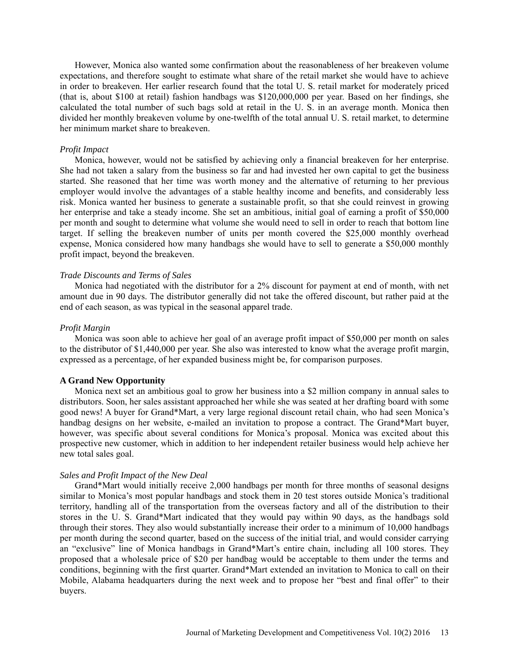However, Monica also wanted some confirmation about the reasonableness of her breakeven volume expectations, and therefore sought to estimate what share of the retail market she would have to achieve in order to breakeven. Her earlier research found that the total U. S. retail market for moderately priced (that is, about \$100 at retail) fashion handbags was \$120,000,000 per year. Based on her findings, she calculated the total number of such bags sold at retail in the U. S. in an average month. Monica then divided her monthly breakeven volume by one-twelfth of the total annual U. S. retail market, to determine her minimum market share to breakeven.

#### *Profit Impact*

Monica, however, would not be satisfied by achieving only a financial breakeven for her enterprise. She had not taken a salary from the business so far and had invested her own capital to get the business started. She reasoned that her time was worth money and the alternative of returning to her previous employer would involve the advantages of a stable healthy income and benefits, and considerably less risk. Monica wanted her business to generate a sustainable profit, so that she could reinvest in growing her enterprise and take a steady income. She set an ambitious, initial goal of earning a profit of \$50,000 per month and sought to determine what volume she would need to sell in order to reach that bottom line target. If selling the breakeven number of units per month covered the \$25,000 monthly overhead expense, Monica considered how many handbags she would have to sell to generate a \$50,000 monthly profit impact, beyond the breakeven.

#### *Trade Discounts and Terms of Sales*

Monica had negotiated with the distributor for a 2% discount for payment at end of month, with net amount due in 90 days. The distributor generally did not take the offered discount, but rather paid at the end of each season, as was typical in the seasonal apparel trade.

#### *Profit Margin*

Monica was soon able to achieve her goal of an average profit impact of \$50,000 per month on sales to the distributor of \$1,440,000 per year. She also was interested to know what the average profit margin, expressed as a percentage, of her expanded business might be, for comparison purposes.

#### **A Grand New Opportunity**

Monica next set an ambitious goal to grow her business into a \$2 million company in annual sales to distributors. Soon, her sales assistant approached her while she was seated at her drafting board with some good news! A buyer for Grand\*Mart, a very large regional discount retail chain, who had seen Monica's handbag designs on her website, e-mailed an invitation to propose a contract. The Grand\*Mart buyer, however, was specific about several conditions for Monica's proposal. Monica was excited about this prospective new customer, which in addition to her independent retailer business would help achieve her new total sales goal.

### *Sales and Profit Impact of the New Deal*

Grand\*Mart would initially receive 2,000 handbags per month for three months of seasonal designs similar to Monica's most popular handbags and stock them in 20 test stores outside Monica's traditional territory, handling all of the transportation from the overseas factory and all of the distribution to their stores in the U. S. Grand\*Mart indicated that they would pay within 90 days, as the handbags sold through their stores. They also would substantially increase their order to a minimum of 10,000 handbags per month during the second quarter, based on the success of the initial trial, and would consider carrying an "exclusive" line of Monica handbags in Grand\*Mart's entire chain, including all 100 stores. They proposed that a wholesale price of \$20 per handbag would be acceptable to them under the terms and conditions, beginning with the first quarter. Grand\*Mart extended an invitation to Monica to call on their Mobile, Alabama headquarters during the next week and to propose her "best and final offer" to their buyers.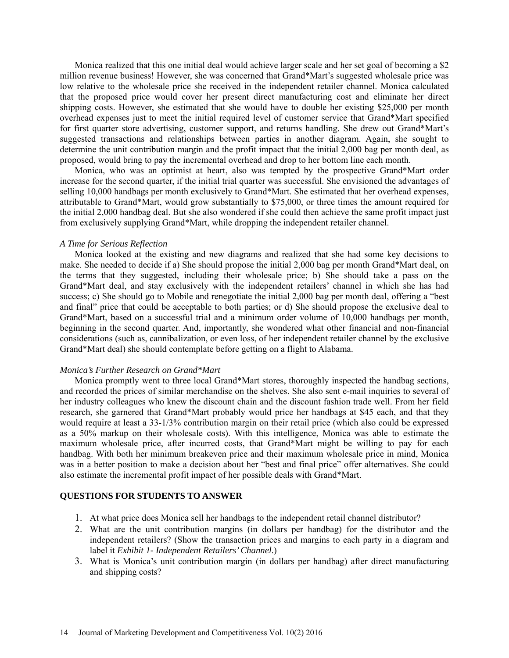Monica realized that this one initial deal would achieve larger scale and her set goal of becoming a \$2 million revenue business! However, she was concerned that Grand\*Mart's suggested wholesale price was low relative to the wholesale price she received in the independent retailer channel. Monica calculated that the proposed price would cover her present direct manufacturing cost and eliminate her direct shipping costs. However, she estimated that she would have to double her existing \$25,000 per month overhead expenses just to meet the initial required level of customer service that Grand\*Mart specified for first quarter store advertising, customer support, and returns handling. She drew out Grand\*Mart's suggested transactions and relationships between parties in another diagram. Again, she sought to determine the unit contribution margin and the profit impact that the initial 2,000 bag per month deal, as proposed, would bring to pay the incremental overhead and drop to her bottom line each month.

Monica, who was an optimist at heart, also was tempted by the prospective Grand\*Mart order increase for the second quarter, if the initial trial quarter was successful. She envisioned the advantages of selling 10,000 handbags per month exclusively to Grand\*Mart. She estimated that her overhead expenses, attributable to Grand\*Mart, would grow substantially to \$75,000, or three times the amount required for the initial 2,000 handbag deal. But she also wondered if she could then achieve the same profit impact just from exclusively supplying Grand\*Mart, while dropping the independent retailer channel.

#### *A Time for Serious Reflection*

Monica looked at the existing and new diagrams and realized that she had some key decisions to make. She needed to decide if a) She should propose the initial 2,000 bag per month Grand\*Mart deal, on the terms that they suggested, including their wholesale price; b) She should take a pass on the Grand\*Mart deal, and stay exclusively with the independent retailers' channel in which she has had success; c) She should go to Mobile and renegotiate the initial 2,000 bag per month deal, offering a "best" and final" price that could be acceptable to both parties; or d) She should propose the exclusive deal to Grand\*Mart, based on a successful trial and a minimum order volume of 10,000 handbags per month, beginning in the second quarter. And, importantly, she wondered what other financial and non-financial considerations (such as, cannibalization, or even loss, of her independent retailer channel by the exclusive Grand\*Mart deal) she should contemplate before getting on a flight to Alabama.

#### *Monica's Further Research on Grand\*Mart*

Monica promptly went to three local Grand\*Mart stores, thoroughly inspected the handbag sections, and recorded the prices of similar merchandise on the shelves. She also sent e-mail inquiries to several of her industry colleagues who knew the discount chain and the discount fashion trade well. From her field research, she garnered that Grand\*Mart probably would price her handbags at \$45 each, and that they would require at least a 33-1/3% contribution margin on their retail price (which also could be expressed as a 50% markup on their wholesale costs). With this intelligence, Monica was able to estimate the maximum wholesale price, after incurred costs, that Grand\*Mart might be willing to pay for each handbag. With both her minimum breakeven price and their maximum wholesale price in mind, Monica was in a better position to make a decision about her "best and final price" offer alternatives. She could also estimate the incremental profit impact of her possible deals with Grand\*Mart.

### **QUESTIONS FOR STUDENTS TO ANSWER**

- 1. At what price does Monica sell her handbags to the independent retail channel distributor?
- 2. What are the unit contribution margins (in dollars per handbag) for the distributor and the independent retailers? (Show the transaction prices and margins to each party in a diagram and label it *Exhibit 1- Independent Retailers' Channel*.)
- 3. What is Monica's unit contribution margin (in dollars per handbag) after direct manufacturing and shipping costs?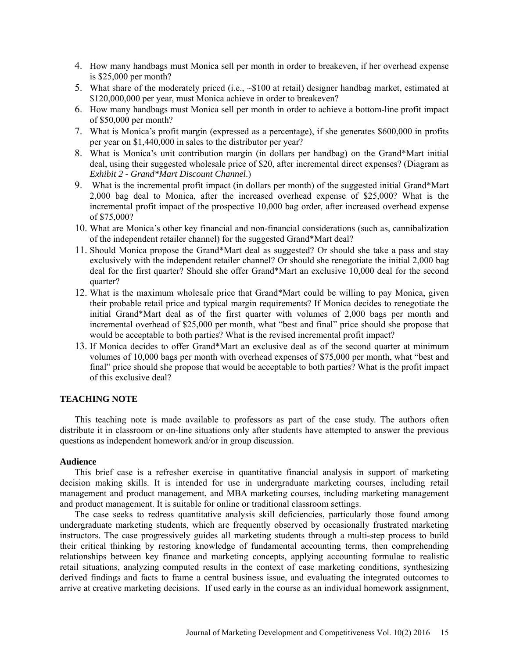- 4. How many handbags must Monica sell per month in order to breakeven, if her overhead expense is \$25,000 per month?
- 5. What share of the moderately priced (i.e.,  $\sim $100$  at retail) designer handbag market, estimated at \$120,000,000 per year, must Monica achieve in order to breakeven?
- 6. How many handbags must Monica sell per month in order to achieve a bottom-line profit impact of \$50,000 per month?
- 7. What is Monica's profit margin (expressed as a percentage), if she generates \$600,000 in profits per year on \$1,440,000 in sales to the distributor per year?
- 8. What is Monica's unit contribution margin (in dollars per handbag) on the Grand\*Mart initial deal, using their suggested wholesale price of \$20, after incremental direct expenses? (Diagram as *Exhibit 2 - Grand\*Mart Discount Channel*.)
- 9. What is the incremental profit impact (in dollars per month) of the suggested initial Grand\*Mart 2,000 bag deal to Monica, after the increased overhead expense of \$25,000? What is the incremental profit impact of the prospective 10,000 bag order, after increased overhead expense of \$75,000?
- 10. What are Monica's other key financial and non-financial considerations (such as, cannibalization of the independent retailer channel) for the suggested Grand\*Mart deal?
- 11. Should Monica propose the Grand\*Mart deal as suggested? Or should she take a pass and stay exclusively with the independent retailer channel? Or should she renegotiate the initial 2,000 bag deal for the first quarter? Should she offer Grand\*Mart an exclusive 10,000 deal for the second quarter?
- 12. What is the maximum wholesale price that Grand\*Mart could be willing to pay Monica, given their probable retail price and typical margin requirements? If Monica decides to renegotiate the initial Grand\*Mart deal as of the first quarter with volumes of 2,000 bags per month and incremental overhead of \$25,000 per month, what "best and final" price should she propose that would be acceptable to both parties? What is the revised incremental profit impact?
- 13. If Monica decides to offer Grand\*Mart an exclusive deal as of the second quarter at minimum volumes of 10,000 bags per month with overhead expenses of \$75,000 per month, what "best and final" price should she propose that would be acceptable to both parties? What is the profit impact of this exclusive deal?

### **TEACHING NOTE**

This teaching note is made available to professors as part of the case study. The authors often distribute it in classroom or on-line situations only after students have attempted to answer the previous questions as independent homework and/or in group discussion.

### **Audience**

This brief case is a refresher exercise in quantitative financial analysis in support of marketing decision making skills. It is intended for use in undergraduate marketing courses, including retail management and product management, and MBA marketing courses, including marketing management and product management. It is suitable for online or traditional classroom settings.

The case seeks to redress quantitative analysis skill deficiencies, particularly those found among undergraduate marketing students, which are frequently observed by occasionally frustrated marketing instructors. The case progressively guides all marketing students through a multi-step process to build their critical thinking by restoring knowledge of fundamental accounting terms, then comprehending relationships between key finance and marketing concepts, applying accounting formulae to realistic retail situations, analyzing computed results in the context of case marketing conditions, synthesizing derived findings and facts to frame a central business issue, and evaluating the integrated outcomes to arrive at creative marketing decisions. If used early in the course as an individual homework assignment,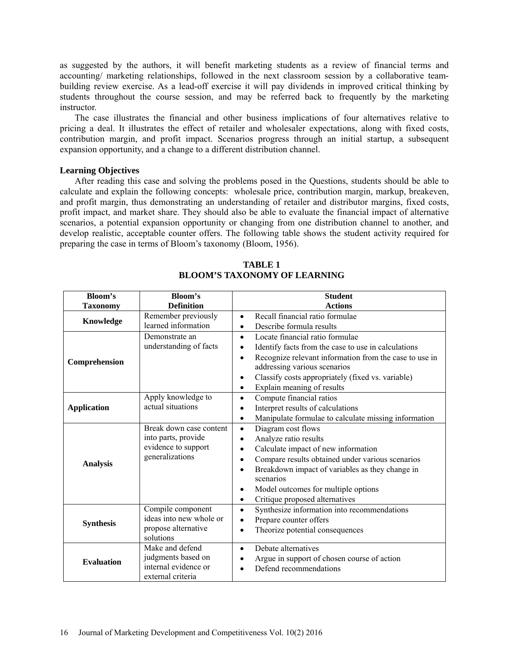as suggested by the authors, it will benefit marketing students as a review of financial terms and accounting/ marketing relationships, followed in the next classroom session by a collaborative teambuilding review exercise. As a lead-off exercise it will pay dividends in improved critical thinking by students throughout the course session, and may be referred back to frequently by the marketing instructor.

The case illustrates the financial and other business implications of four alternatives relative to pricing a deal. It illustrates the effect of retailer and wholesaler expectations, along with fixed costs, contribution margin, and profit impact. Scenarios progress through an initial startup, a subsequent expansion opportunity, and a change to a different distribution channel.

#### **Learning Objectives**

After reading this case and solving the problems posed in the Questions, students should be able to calculate and explain the following concepts: wholesale price, contribution margin, markup, breakeven, and profit margin, thus demonstrating an understanding of retailer and distributor margins, fixed costs, profit impact, and market share. They should also be able to evaluate the financial impact of alternative scenarios, a potential expansion opportunity or changing from one distribution channel to another, and develop realistic, acceptable counter offers. The following table shows the student activity required for preparing the case in terms of Bloom's taxonomy (Bloom, 1956).

| <b>Bloom's</b>     | Bloom's                 | <b>Student</b>                                                      |
|--------------------|-------------------------|---------------------------------------------------------------------|
| <b>Taxonomy</b>    | <b>Definition</b>       | <b>Actions</b>                                                      |
| Knowledge          | Remember previously     | Recall financial ratio formulae<br>$\bullet$                        |
|                    | learned information     | Describe formula results<br>$\bullet$                               |
| Comprehension      | Demonstrate an          | Locate financial ratio formulae<br>$\bullet$                        |
|                    | understanding of facts  | Identify facts from the case to use in calculations                 |
|                    |                         | Recognize relevant information from the case to use in<br>$\bullet$ |
|                    |                         | addressing various scenarios                                        |
|                    |                         | Classify costs appropriately (fixed vs. variable)<br>٠              |
|                    |                         | Explain meaning of results<br>$\bullet$                             |
| <b>Application</b> | Apply knowledge to      | Compute financial ratios<br>$\bullet$                               |
|                    | actual situations       | Interpret results of calculations<br>$\bullet$                      |
|                    |                         | Manipulate formulae to calculate missing information<br>$\bullet$   |
| <b>Analysis</b>    | Break down case content | Diagram cost flows<br>$\bullet$                                     |
|                    | into parts, provide     | Analyze ratio results<br>$\bullet$                                  |
|                    | evidence to support     | Calculate impact of new information<br>$\bullet$                    |
|                    | generalizations         | Compare results obtained under various scenarios<br>$\bullet$       |
|                    |                         | Breakdown impact of variables as they change in<br>$\bullet$        |
|                    |                         | scenarios                                                           |
|                    |                         | Model outcomes for multiple options<br>٠                            |
|                    |                         | Critique proposed alternatives<br>٠                                 |
| <b>Synthesis</b>   | Compile component       | Synthesize information into recommendations<br>$\bullet$            |
|                    | ideas into new whole or | Prepare counter offers<br>$\bullet$                                 |
|                    | propose alternative     | Theorize potential consequences<br>$\bullet$                        |
|                    | solutions               |                                                                     |
| <b>Evaluation</b>  | Make and defend         | Debate alternatives<br>$\bullet$                                    |
|                    | judgments based on      | Argue in support of chosen course of action                         |
|                    | internal evidence or    | Defend recommendations                                              |
|                    | external criteria       |                                                                     |

## **TABLE 1 BLOOM'S TAXONOMY OF LEARNING**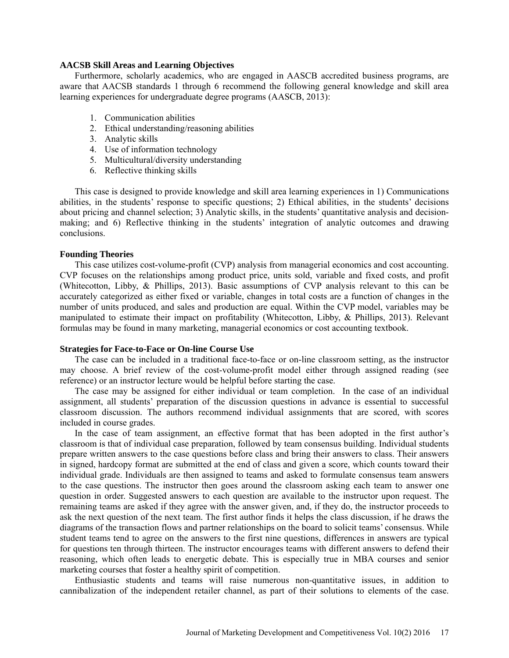#### **AACSB Skill Areas and Learning Objectives**

Furthermore, scholarly academics, who are engaged in AASCB accredited business programs, are aware that AACSB standards 1 through 6 recommend the following general knowledge and skill area learning experiences for undergraduate degree programs (AASCB, 2013):

- 1. Communication abilities
- 2. Ethical understanding/reasoning abilities
- 3. Analytic skills
- 4. Use of information technology
- 5. Multicultural/diversity understanding
- 6. Reflective thinking skills

This case is designed to provide knowledge and skill area learning experiences in 1) Communications abilities, in the students' response to specific questions; 2) Ethical abilities, in the students' decisions about pricing and channel selection; 3) Analytic skills, in the students' quantitative analysis and decisionmaking; and 6) Reflective thinking in the students' integration of analytic outcomes and drawing conclusions.

#### **Founding Theories**

This case utilizes cost-volume-profit (CVP) analysis from managerial economics and cost accounting. CVP focuses on the relationships among product price, units sold, variable and fixed costs, and profit (Whitecotton, Libby, & Phillips, 2013). Basic assumptions of CVP analysis relevant to this can be accurately categorized as either fixed or variable, changes in total costs are a function of changes in the number of units produced, and sales and production are equal. Within the CVP model, variables may be manipulated to estimate their impact on profitability (Whitecotton, Libby, & Phillips, 2013). Relevant formulas may be found in many marketing, managerial economics or cost accounting textbook.

#### **Strategies for Face-to-Face or On-line Course Use**

The case can be included in a traditional face-to-face or on-line classroom setting, as the instructor may choose. A brief review of the cost-volume-profit model either through assigned reading (see reference) or an instructor lecture would be helpful before starting the case.

The case may be assigned for either individual or team completion. In the case of an individual assignment, all students' preparation of the discussion questions in advance is essential to successful classroom discussion. The authors recommend individual assignments that are scored, with scores included in course grades.

In the case of team assignment, an effective format that has been adopted in the first author's classroom is that of individual case preparation, followed by team consensus building. Individual students prepare written answers to the case questions before class and bring their answers to class. Their answers in signed, hardcopy format are submitted at the end of class and given a score, which counts toward their individual grade. Individuals are then assigned to teams and asked to formulate consensus team answers to the case questions. The instructor then goes around the classroom asking each team to answer one question in order. Suggested answers to each question are available to the instructor upon request. The remaining teams are asked if they agree with the answer given, and, if they do, the instructor proceeds to ask the next question of the next team. The first author finds it helps the class discussion, if he draws the diagrams of the transaction flows and partner relationships on the board to solicit teams' consensus. While student teams tend to agree on the answers to the first nine questions, differences in answers are typical for questions ten through thirteen. The instructor encourages teams with different answers to defend their reasoning, which often leads to energetic debate. This is especially true in MBA courses and senior marketing courses that foster a healthy spirit of competition.

Enthusiastic students and teams will raise numerous non-quantitative issues, in addition to cannibalization of the independent retailer channel, as part of their solutions to elements of the case.